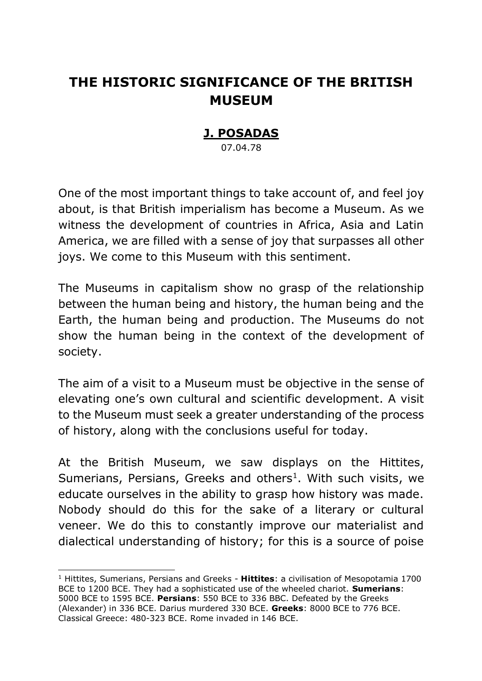## **THE HISTORIC SIGNIFICANCE OF THE BRITISH MUSEUM**

## **J. POSADAS**

07.04.78

One of the most important things to take account of, and feel joy about, is that British imperialism has become a Museum. As we witness the development of countries in Africa, Asia and Latin America, we are filled with a sense of joy that surpasses all other joys. We come to this Museum with this sentiment.

The Museums in capitalism show no grasp of the relationship between the human being and history, the human being and the Earth, the human being and production. The Museums do not show the human being in the context of the development of society.

The aim of a visit to a Museum must be objective in the sense of elevating one's own cultural and scientific development. A visit to the Museum must seek a greater understanding of the process of history, along with the conclusions useful for today.

At the British Museum, we saw displays on the Hittites, Sumerians, Persians, Greeks and others<sup>1</sup>. With such visits, we educate ourselves in the ability to grasp how history was made. Nobody should do this for the sake of a literary or cultural veneer. We do this to constantly improve our materialist and dialectical understanding of history; for this is a source of poise

-

<sup>1</sup> Hittites, Sumerians, Persians and Greeks - **Hittites**: a civilisation of Mesopotamia 1700 BCE to 1200 BCE. They had a sophisticated use of the wheeled chariot. **Sumerians**: 5000 BCE to 1595 BCE. **Persians**: 550 BCE to 336 BBC. Defeated by the Greeks (Alexander) in 336 BCE. Darius murdered 330 BCE. **Greeks**: 8000 BCE to 776 BCE. Classical Greece: 480-323 BCE. Rome invaded in 146 BCE.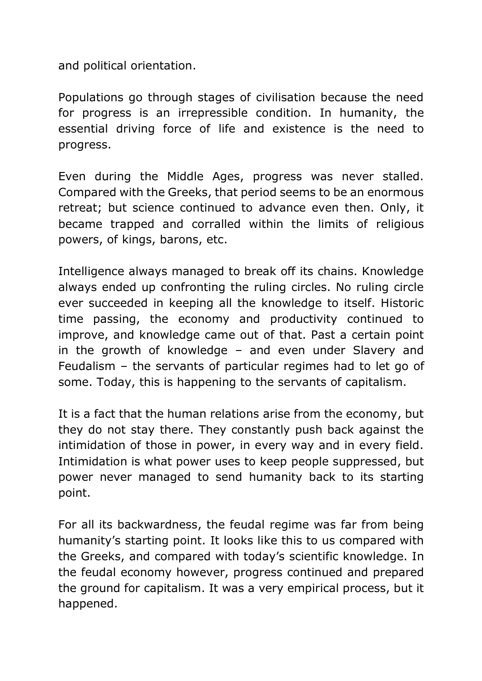and political orientation.

Populations go through stages of civilisation because the need for progress is an irrepressible condition. In humanity, the essential driving force of life and existence is the need to progress.

Even during the Middle Ages, progress was never stalled. Compared with the Greeks, that period seems to be an enormous retreat; but science continued to advance even then. Only, it became trapped and corralled within the limits of religious powers, of kings, barons, etc.

Intelligence always managed to break off its chains. Knowledge always ended up confronting the ruling circles. No ruling circle ever succeeded in keeping all the knowledge to itself. Historic time passing, the economy and productivity continued to improve, and knowledge came out of that. Past a certain point in the growth of knowledge – and even under Slavery and Feudalism – the servants of particular regimes had to let go of some. Today, this is happening to the servants of capitalism.

It is a fact that the human relations arise from the economy, but they do not stay there. They constantly push back against the intimidation of those in power, in every way and in every field. Intimidation is what power uses to keep people suppressed, but power never managed to send humanity back to its starting point.

For all its backwardness, the feudal regime was far from being humanity's starting point. It looks like this to us compared with the Greeks, and compared with today's scientific knowledge. In the feudal economy however, progress continued and prepared the ground for capitalism. It was a very empirical process, but it happened.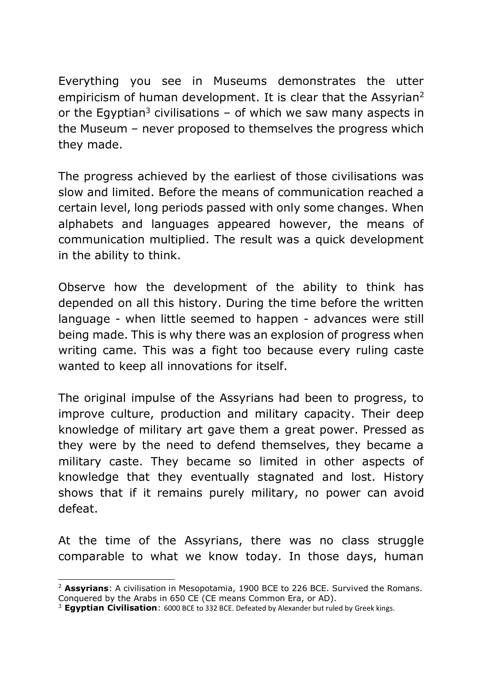Everything you see in Museums demonstrates the utter empiricism of human development. It is clear that the Assyrian<sup>2</sup> or the Egyptian<sup>3</sup> civilisations  $-$  of which we saw many aspects in the Museum – never proposed to themselves the progress which they made.

The progress achieved by the earliest of those civilisations was slow and limited. Before the means of communication reached a certain level, long periods passed with only some changes. When alphabets and languages appeared however, the means of communication multiplied. The result was a quick development in the ability to think.

Observe how the development of the ability to think has depended on all this history. During the time before the written language - when little seemed to happen - advances were still being made. This is why there was an explosion of progress when writing came. This was a fight too because every ruling caste wanted to keep all innovations for itself.

The original impulse of the Assyrians had been to progress, to improve culture, production and military capacity. Their deep knowledge of military art gave them a great power. Pressed as they were by the need to defend themselves, they became a military caste. They became so limited in other aspects of knowledge that they eventually stagnated and lost. History shows that if it remains purely military, no power can avoid defeat.

At the time of the Assyrians, there was no class struggle comparable to what we know today. In those days, human

<sup>-</sup><sup>2</sup> **Assyrians**: A civilisation in Mesopotamia, 1900 BCE to 226 BCE. Survived the Romans. Conquered by the Arabs in 650 CE (CE means Common Era, or AD).

<sup>3</sup> **Egyptian Civilisation**: 6000 BCE to 332 BCE. Defeated by Alexander but ruled by Greek kings.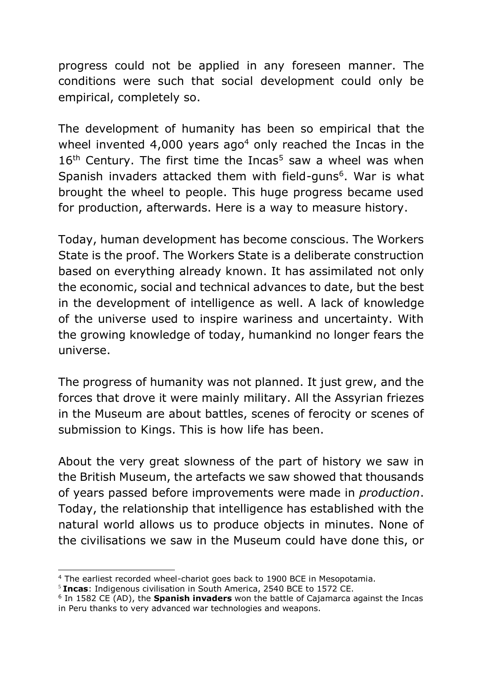progress could not be applied in any foreseen manner. The conditions were such that social development could only be empirical, completely so.

The development of humanity has been so empirical that the wheel invented 4,000 years ago<sup>4</sup> only reached the Incas in the  $16<sup>th</sup>$  Century. The first time the Incas<sup>5</sup> saw a wheel was when Spanish invaders attacked them with field-guns<sup>6</sup>. War is what brought the wheel to people. This huge progress became used for production, afterwards. Here is a way to measure history.

Today, human development has become conscious. The Workers State is the proof. The Workers State is a deliberate construction based on everything already known. It has assimilated not only the economic, social and technical advances to date, but the best in the development of intelligence as well. A lack of knowledge of the universe used to inspire wariness and uncertainty. With the growing knowledge of today, humankind no longer fears the universe.

The progress of humanity was not planned. It just grew, and the forces that drove it were mainly military. All the Assyrian friezes in the Museum are about battles, scenes of ferocity or scenes of submission to Kings. This is how life has been.

About the very great slowness of the part of history we saw in the British Museum, the artefacts we saw showed that thousands of years passed before improvements were made in *production*. Today, the relationship that intelligence has established with the natural world allows us to produce objects in minutes. None of the civilisations we saw in the Museum could have done this, or

 $\overline{a}$ 

<sup>&</sup>lt;sup>4</sup> The earliest recorded wheel-chariot goes back to 1900 BCE in Mesopotamia.

<sup>5</sup> **Incas**: Indigenous civilisation in South America, 2540 BCE to 1572 CE.

<sup>6</sup> In 1582 CE (AD), the **Spanish invaders** won the battle of Cajamarca against the Incas in Peru thanks to very advanced war technologies and weapons.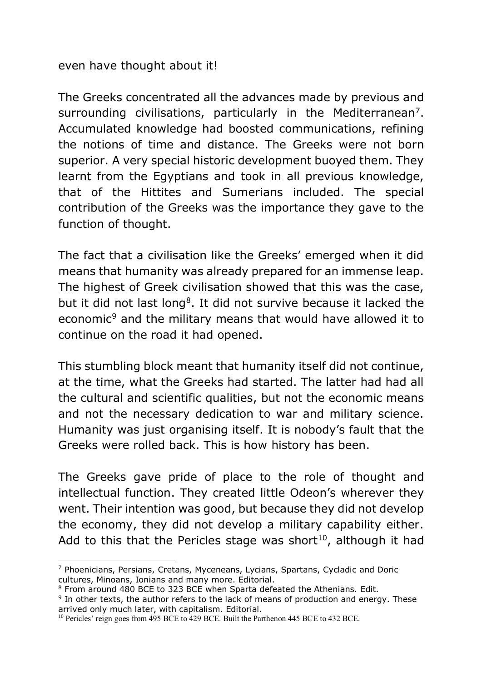even have thought about it!

The Greeks concentrated all the advances made by previous and surrounding civilisations, particularly in the Mediterranean<sup>7</sup>. Accumulated knowledge had boosted communications, refining the notions of time and distance. The Greeks were not born superior. A very special historic development buoyed them. They learnt from the Egyptians and took in all previous knowledge, that of the Hittites and Sumerians included. The special contribution of the Greeks was the importance they gave to the function of thought.

The fact that a civilisation like the Greeks' emerged when it did means that humanity was already prepared for an immense leap. The highest of Greek civilisation showed that this was the case, but it did not last long<sup>8</sup>. It did not survive because it lacked the economic<sup>9</sup> and the military means that would have allowed it to continue on the road it had opened.

This stumbling block meant that humanity itself did not continue, at the time, what the Greeks had started. The latter had had all the cultural and scientific qualities, but not the economic means and not the necessary dedication to war and military science. Humanity was just organising itself. It is nobody's fault that the Greeks were rolled back. This is how history has been.

The Greeks gave pride of place to the role of thought and intellectual function. They created little Odeon's wherever they went. Their intention was good, but because they did not develop the economy, they did not develop a military capability either. Add to this that the Pericles stage was short<sup>10</sup>, although it had

 $\overline{a}$ <sup>7</sup> Phoenicians, Persians, Cretans, Myceneans, Lycians, Spartans, Cycladic and Doric cultures, Minoans, Ionians and many more. Editorial.

<sup>8</sup> From around 480 BCE to 323 BCE when Sparta defeated the Athenians. Edit.

<sup>&</sup>lt;sup>9</sup> In other texts, the author refers to the lack of means of production and energy. These arrived only much later, with capitalism. Editorial.

<sup>&</sup>lt;sup>10</sup> Pericles' reign goes from 495 BCE to 429 BCE. Built the Parthenon 445 BCE to 432 BCE.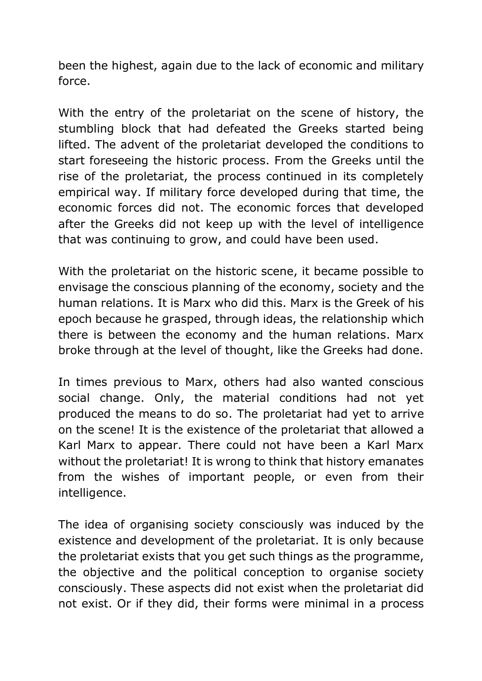been the highest, again due to the lack of economic and military force.

With the entry of the proletariat on the scene of history, the stumbling block that had defeated the Greeks started being lifted. The advent of the proletariat developed the conditions to start foreseeing the historic process. From the Greeks until the rise of the proletariat, the process continued in its completely empirical way. If military force developed during that time, the economic forces did not. The economic forces that developed after the Greeks did not keep up with the level of intelligence that was continuing to grow, and could have been used.

With the proletariat on the historic scene, it became possible to envisage the conscious planning of the economy, society and the human relations. It is Marx who did this. Marx is the Greek of his epoch because he grasped, through ideas, the relationship which there is between the economy and the human relations. Marx broke through at the level of thought, like the Greeks had done.

In times previous to Marx, others had also wanted conscious social change. Only, the material conditions had not yet produced the means to do so. The proletariat had yet to arrive on the scene! It is the existence of the proletariat that allowed a Karl Marx to appear. There could not have been a Karl Marx without the proletariat! It is wrong to think that history emanates from the wishes of important people, or even from their intelligence.

The idea of organising society consciously was induced by the existence and development of the proletariat. It is only because the proletariat exists that you get such things as the programme, the objective and the political conception to organise society consciously. These aspects did not exist when the proletariat did not exist. Or if they did, their forms were minimal in a process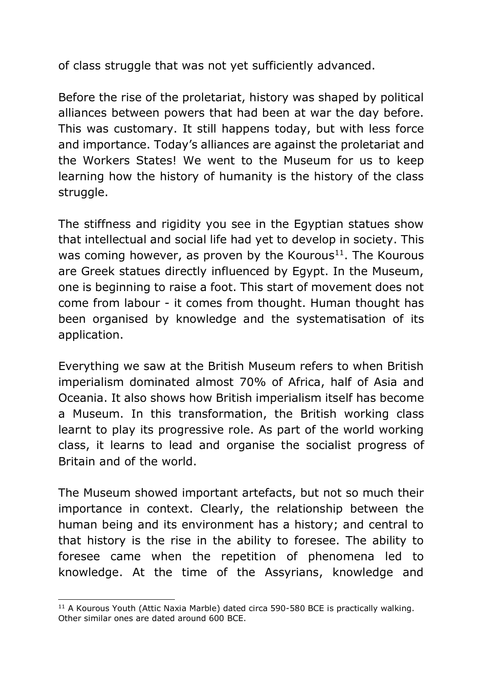of class struggle that was not yet sufficiently advanced.

Before the rise of the proletariat, history was shaped by political alliances between powers that had been at war the day before. This was customary. It still happens today, but with less force and importance. Today's alliances are against the proletariat and the Workers States! We went to the Museum for us to keep learning how the history of humanity is the history of the class struggle.

The stiffness and rigidity you see in the Egyptian statues show that intellectual and social life had yet to develop in society. This was coming however, as proven by the Kourous<sup>11</sup>. The Kourous are Greek statues directly influenced by Egypt. In the Museum, one is beginning to raise a foot. This start of movement does not come from labour - it comes from thought. Human thought has been organised by knowledge and the systematisation of its application.

Everything we saw at the British Museum refers to when British imperialism dominated almost 70% of Africa, half of Asia and Oceania. It also shows how British imperialism itself has become a Museum. In this transformation, the British working class learnt to play its progressive role. As part of the world working class, it learns to lead and organise the socialist progress of Britain and of the world.

The Museum showed important artefacts, but not so much their importance in context. Clearly, the relationship between the human being and its environment has a history; and central to that history is the rise in the ability to foresee. The ability to foresee came when the repetition of phenomena led to knowledge. At the time of the Assyrians, knowledge and

<sup>-</sup><sup>11</sup> A Kourous Youth (Attic Naxia Marble) dated circa 590-580 BCE is practically walking. Other similar ones are dated around 600 BCE.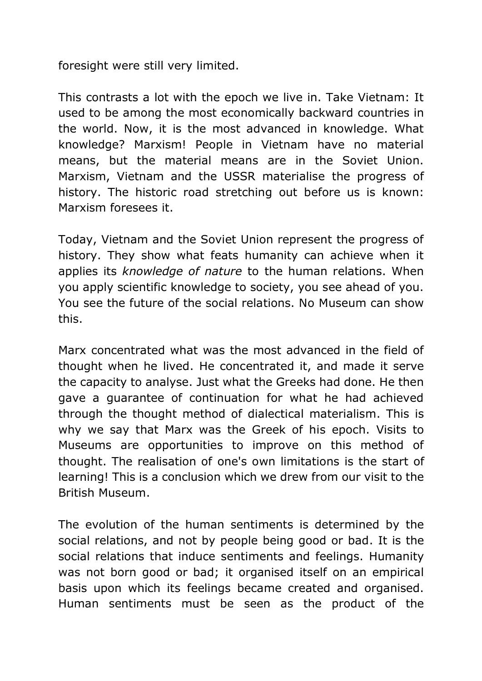foresight were still very limited.

This contrasts a lot with the epoch we live in. Take Vietnam: It used to be among the most economically backward countries in the world. Now, it is the most advanced in knowledge. What knowledge? Marxism! People in Vietnam have no material means, but the material means are in the Soviet Union. Marxism, Vietnam and the USSR materialise the progress of history. The historic road stretching out before us is known: Marxism foresees it.

Today, Vietnam and the Soviet Union represent the progress of history. They show what feats humanity can achieve when it applies its *knowledge of nature* to the human relations. When you apply scientific knowledge to society, you see ahead of you. You see the future of the social relations. No Museum can show this.

Marx concentrated what was the most advanced in the field of thought when he lived. He concentrated it, and made it serve the capacity to analyse. Just what the Greeks had done. He then gave a guarantee of continuation for what he had achieved through the thought method of dialectical materialism. This is why we say that Marx was the Greek of his epoch. Visits to Museums are opportunities to improve on this method of thought. The realisation of one's own limitations is the start of learning! This is a conclusion which we drew from our visit to the British Museum.

The evolution of the human sentiments is determined by the social relations, and not by people being good or bad. It is the social relations that induce sentiments and feelings. Humanity was not born good or bad; it organised itself on an empirical basis upon which its feelings became created and organised. Human sentiments must be seen as the product of the